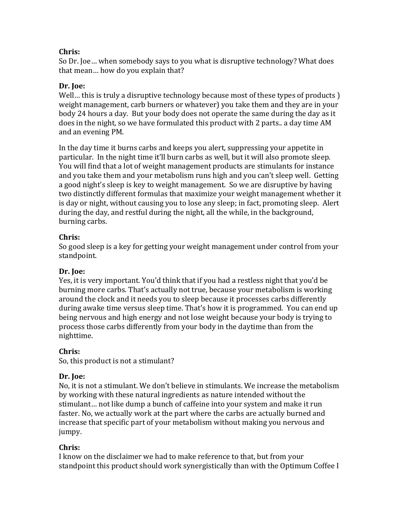# **Chris:**

So Dr. Joe... when somebody says to you what is disruptive technology? What does that mean... how do you explain that?

# Dr. **Joe:**

Well... this is truly a disruptive technology because most of these types of products  $\overline{\phantom{a}}$ weight management, carb burners or whatever) you take them and they are in your body 24 hours a day. But your body does not operate the same during the day as it does in the night, so we have formulated this product with 2 parts.. a day time AM and an evening PM.

In the day time it burns carbs and keeps you alert, suppressing your appetite in particular. In the night time it'll burn carbs as well, but it will also promote sleep. You will find that a lot of weight management products are stimulants for instance and you take them and your metabolism runs high and you can't sleep well. Getting a good night's sleep is key to weight management. So we are disruptive by having two distinctly different formulas that maximize your weight management whether it is day or night, without causing you to lose any sleep; in fact, promoting sleep. Alert during the day, and restful during the night, all the while, in the background, burning carbs.

# **Chris:**

So good sleep is a key for getting your weight management under control from your standpoint. 

## Dr. **Joe:**

Yes, it is very important. You'd think that if you had a restless night that you'd be burning more carbs. That's actually not true, because your metabolism is working around the clock and it needs you to sleep because it processes carbs differently during awake time versus sleep time. That's how it is programmed. You can end up being nervous and high energy and not lose weight because your body is trying to process those carbs differently from your body in the daytime than from the nighttime. 

## **Chris:**

So, this product is not a stimulant?

## **Dr. Joe:**

No, it is not a stimulant. We don't believe in stimulants. We increase the metabolism by working with these natural ingredients as nature intended without the stimulant... not like dump a bunch of caffeine into your system and make it run faster. No, we actually work at the part where the carbs are actually burned and increase that specific part of your metabolism without making you nervous and jumpy.

# **Chris:**

I know on the disclaimer we had to make reference to that, but from your standpoint this product should work synergistically than with the Optimum Coffee I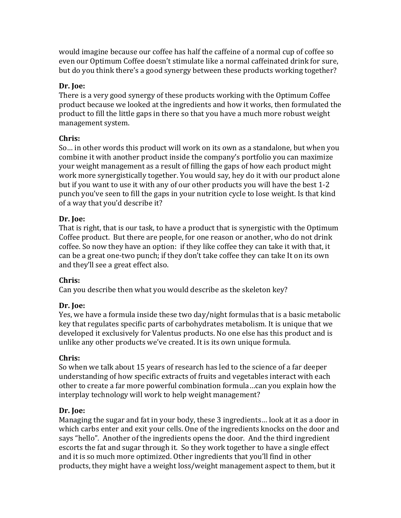would imagine because our coffee has half the caffeine of a normal cup of coffee so even our Optimum Coffee doesn't stimulate like a normal caffeinated drink for sure, but do you think there's a good synergy between these products working together?

# Dr. **Joe:**

There is a very good synergy of these products working with the Optimum Coffee product because we looked at the ingredients and how it works, then formulated the product to fill the little gaps in there so that you have a much more robust weight management system.

# **Chris:**

So... in other words this product will work on its own as a standalone, but when you combine it with another product inside the company's portfolio you can maximize your weight management as a result of filling the gaps of how each product might work more synergistically together. You would say, hey do it with our product alone but if you want to use it with any of our other products you will have the best 1-2 punch you've seen to fill the gaps in your nutrition cycle to lose weight. Is that kind of a way that you'd describe it?

# **Dr. Joe:**

That is right, that is our task, to have a product that is synergistic with the Optimum Coffee product. But there are people, for one reason or another, who do not drink coffee. So now they have an option: if they like coffee they can take it with that, it can be a great one-two punch; if they don't take coffee they can take It on its own and they'll see a great effect also.

# **Chris:**

Can you describe then what you would describe as the skeleton key?

# **Dr. Joe:**

Yes, we have a formula inside these two day/night formulas that is a basic metabolic key that regulates specific parts of carbohydrates metabolism. It is unique that we developed it exclusively for Valentus products. No one else has this product and is unlike any other products we've created. It is its own unique formula.

# **Chris:**

So when we talk about 15 years of research has led to the science of a far deeper understanding of how specific extracts of fruits and vegetables interact with each other to create a far more powerful combination formula...can you explain how the interplay technology will work to help weight management?

# Dr. **Joe:**

Managing the sugar and fat in your body, these 3 ingredients... look at it as a door in which carbs enter and exit your cells. One of the ingredients knocks on the door and says "hello". Another of the ingredients opens the door. And the third ingredient escorts the fat and sugar through it. So they work together to have a single effect and it is so much more optimized. Other ingredients that you'll find in other products, they might have a weight loss/weight management aspect to them, but it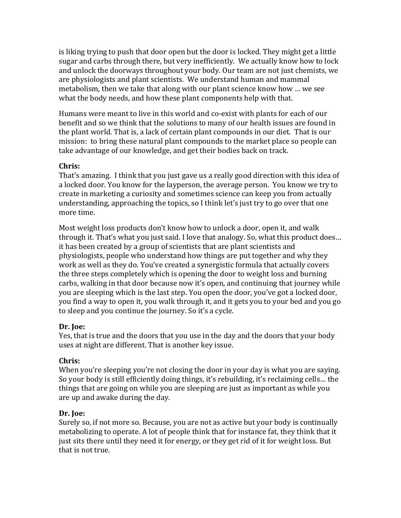is liking trying to push that door open but the door is locked. They might get a little sugar and carbs through there, but very inefficiently. We actually know how to lock and unlock the doorways throughout your body. Our team are not just chemists, we are physiologists and plant scientists. We understand human and mammal metabolism, then we take that along with our plant science know how ... we see what the body needs, and how these plant components help with that.

Humans were meant to live in this world and co-exist with plants for each of our benefit and so we think that the solutions to many of our health issues are found in the plant world. That is, a lack of certain plant compounds in our diet. That is our mission: to bring these natural plant compounds to the market place so people can take advantage of our knowledge, and get their bodies back on track.

### **Chris:**

That's amazing. I think that you just gave us a really good direction with this idea of a locked door. You know for the layperson, the average person. You know we try to create in marketing a curiosity and sometimes science can keep you from actually understanding, approaching the topics, so I think let's just try to go over that one more time.

Most weight loss products don't know how to unlock a door, open it, and walk through it. That's what you just said. I love that analogy. So, what this product does... it has been created by a group of scientists that are plant scientists and physiologists, people who understand how things are put together and why they work as well as they do. You've created a synergistic formula that actually covers the three steps completely which is opening the door to weight loss and burning carbs, walking in that door because now it's open, and continuing that journey while you are sleeping which is the last step. You open the door, you've got a locked door, you find a way to open it, you walk through it, and it gets you to your bed and you go to sleep and you continue the journey. So it's a cycle.

### Dr. Ioe:

Yes, that is true and the doors that you use in the day and the doors that your body uses at night are different. That is another key issue.

## **Chris:**

When you're sleeping you're not closing the door in your day is what you are saying. So your body is still efficiently doing things, it's rebuilding, it's reclaiming cells... the things that are going on while you are sleeping are just as important as while you are up and awake during the day.

## Dr. **Joe:**

Surely so, if not more so. Because, you are not as active but your body is continually metabolizing to operate. A lot of people think that for instance fat, they think that it just sits there until they need it for energy, or they get rid of it for weight loss. But that is not true.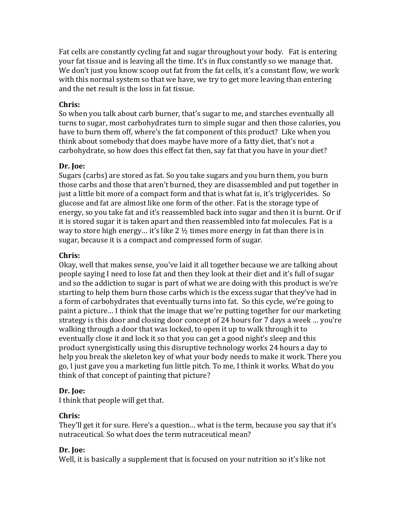Fat cells are constantly cycling fat and sugar throughout your body. Fat is entering your fat tissue and is leaving all the time. It's in flux constantly so we manage that. We don't just you know scoop out fat from the fat cells, it's a constant flow, we work with this normal system so that we have, we try to get more leaving than entering and the net result is the loss in fat tissue.

### **Chris:**

So when you talk about carb burner, that's sugar to me, and starches eventually all turns to sugar, most carbohydrates turn to simple sugar and then those calories, you have to burn them off, where's the fat component of this product? Like when you think about somebody that does maybe have more of a fatty diet, that's not a carbohydrate, so how does this effect fat then, say fat that you have in your diet?

### Dr. **Joe:**

Sugars (carbs) are stored as fat. So you take sugars and you burn them, you burn those carbs and those that aren't burned, they are disassembled and put together in just a little bit more of a compact form and that is what fat is, it's triglycerides. So glucose and fat are almost like one form of the other. Fat is the storage type of energy, so you take fat and it's reassembled back into sugar and then it is burnt. Or if it is stored sugar it is taken apart and then reassembled into fat molecules. Fat is a way to store high energy... it's like 2  $\frac{1}{2}$  times more energy in fat than there is in sugar, because it is a compact and compressed form of sugar.

## **Chris:**

Okay, well that makes sense, you've laid it all together because we are talking about people saying I need to lose fat and then they look at their diet and it's full of sugar and so the addiction to sugar is part of what we are doing with this product is we're starting to help them burn those carbs which is the excess sugar that they've had in a form of carbohydrates that eventually turns into fat. So this cycle, we're going to paint a picture... I think that the image that we're putting together for our marketing strategy is this door and closing door concept of 24 hours for 7 days a week ... you're walking through a door that was locked, to open it up to walk through it to eventually close it and lock it so that you can get a good night's sleep and this product synergistically using this disruptive technology works 24 hours a day to help you break the skeleton key of what your body needs to make it work. There you go, I just gave you a marketing fun little pitch. To me, I think it works. What do you think of that concept of painting that picture?

## Dr. **Joe:**

I think that people will get that.

### **Chris:**

They'll get it for sure. Here's a question... what is the term, because you say that it's nutraceutical. So what does the term nutraceutical mean?

## **Dr. Joe:**

Well, it is basically a supplement that is focused on your nutrition so it's like not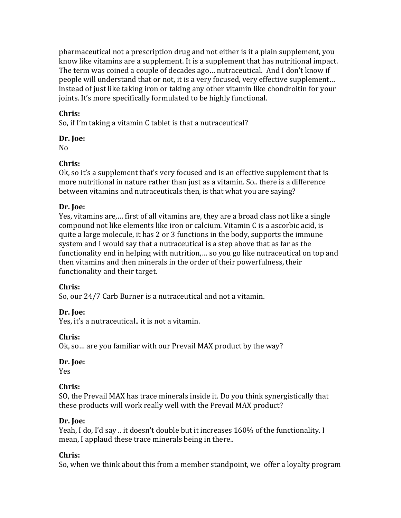pharmaceutical not a prescription drug and not either is it a plain supplement, you know like vitamins are a supplement. It is a supplement that has nutritional impact. The term was coined a couple of decades ago... nutraceutical. And I don't know if people will understand that or not, it is a very focused, very effective supplement... instead of just like taking iron or taking any other vitamin like chondroitin for your ioints. It's more specifically formulated to be highly functional.

## **Chris:**

So, if I'm taking a vitamin C tablet is that a nutraceutical?

## Dr. **Joe:**

No

## **Chris:**

Ok, so it's a supplement that's very focused and is an effective supplement that is more nutritional in nature rather than just as a vitamin. So. there is a difference between vitamins and nutraceuticals then, is that what you are saying?

## **Dr. Joe:**

Yes, vitamins are,... first of all vitamins are, they are a broad class not like a single compound not like elements like iron or calcium. Vitamin C is a ascorbic acid, is quite a large molecule, it has 2 or 3 functions in the body, supports the immune system and I would say that a nutraceutical is a step above that as far as the functionality end in helping with nutrition,... so you go like nutraceutical on top and then vitamins and then minerals in the order of their powerfulness, their functionality and their target.

## **Chris:**

So, our 24/7 Carb Burner is a nutraceutical and not a vitamin.

## Dr. Ioe:

Yes, it's a nutraceutical.. it is not a vitamin.

## **Chris:**

Ok, so ... are you familiar with our Prevail MAX product by the way?

## Dr. **Joe:**

Yes

## **Chris:**

SO, the Prevail MAX has trace minerals inside it. Do you think synergistically that these products will work really well with the Prevail MAX product?

## Dr. **Joe:**

Yeah, I do, I'd say .. it doesn't double but it increases 160% of the functionality. I mean, I applaud these trace minerals being in there..

## **Chris:**

So, when we think about this from a member standpoint, we offer a loyalty program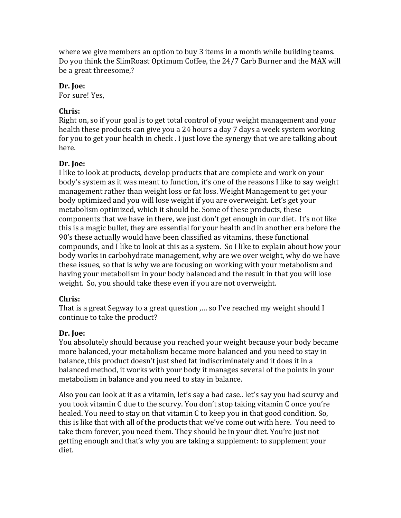where we give members an option to buy 3 items in a month while building teams. Do you think the SlimRoast Optimum Coffee, the 24/7 Carb Burner and the MAX will be a great threesome.?

### Dr. **Joe:**

For sure! Yes,

## **Chris:**

Right on, so if your goal is to get total control of your weight management and your health these products can give you a 24 hours a day 7 days a week system working for you to get your health in check. I just love the synergy that we are talking about here. 

## Dr. Ioe:

I like to look at products, develop products that are complete and work on your body's system as it was meant to function, it's one of the reasons I like to say weight management rather than weight loss or fat loss. Weight Management to get your body optimized and you will lose weight if you are overweight. Let's get your metabolism optimized, which it should be. Some of these products, these components that we have in there, we just don't get enough in our diet. It's not like this is a magic bullet, they are essential for your health and in another era before the 90's these actually would have been classified as vitamins, these functional compounds, and I like to look at this as a system. So I like to explain about how your body works in carbohydrate management, why are we over weight, why do we have these issues, so that is why we are focusing on working with your metabolism and having your metabolism in your body balanced and the result in that you will lose weight. So, you should take these even if you are not overweight.

### **Chris:**

That is a great Segway to a great question ,... so I've reached my weight should I continue to take the product?

## Dr. **Joe:**

You absolutely should because you reached your weight because your body became more balanced, your metabolism became more balanced and you need to stay in balance, this product doesn't just shed fat indiscriminately and it does it in a balanced method, it works with your body it manages several of the points in your metabolism in balance and you need to stay in balance.

Also you can look at it as a vitamin, let's say a bad case.. let's say you had scurvy and you took vitamin C due to the scurvy. You don't stop taking vitamin C once you're healed. You need to stay on that vitamin C to keep you in that good condition. So, this is like that with all of the products that we've come out with here. You need to take them forever, you need them. They should be in your diet. You're just not getting enough and that's why you are taking a supplement: to supplement your diet.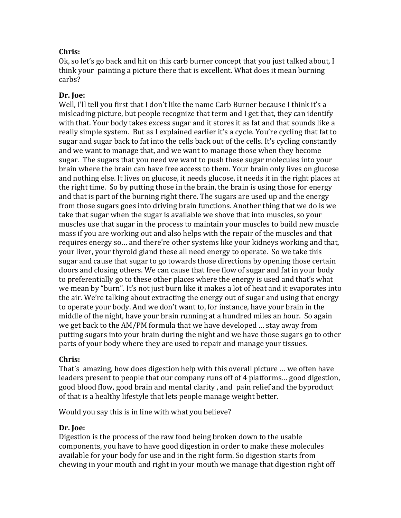## **Chris:**

Ok, so let's go back and hit on this carb burner concept that you just talked about, I think your painting a picture there that is excellent. What does it mean burning carbs?

## Dr. **Joe:**

Well, I'll tell you first that I don't like the name Carb Burner because I think it's a misleading picture, but people recognize that term and I get that, they can identify with that. Your body takes excess sugar and it stores it as fat and that sounds like a really simple system. But as I explained earlier it's a cycle. You're cycling that fat to sugar and sugar back to fat into the cells back out of the cells. It's cycling constantly and we want to manage that, and we want to manage those when they become sugar. The sugars that you need we want to push these sugar molecules into your brain where the brain can have free access to them. Your brain only lives on glucose and nothing else. It lives on glucose, it needs glucose, it needs it in the right places at the right time. So by putting those in the brain, the brain is using those for energy and that is part of the burning right there. The sugars are used up and the energy from those sugars goes into driving brain functions. Another thing that we do is we take that sugar when the sugar is available we shove that into muscles, so your muscles use that sugar in the process to maintain your muscles to build new muscle mass if you are working out and also helps with the repair of the muscles and that requires energy so... and there're other systems like your kidneys working and that, your liver, your thyroid gland these all need energy to operate. So we take this sugar and cause that sugar to go towards those directions by opening those certain doors and closing others. We can cause that free flow of sugar and fat in your body to preferentially go to these other places where the energy is used and that's what we mean by "burn". It's not just burn like it makes a lot of heat and it evaporates into the air. We're talking about extracting the energy out of sugar and using that energy to operate your body. And we don't want to, for instance, have your brain in the middle of the night, have your brain running at a hundred miles an hour. So again we get back to the AM/PM formula that we have developed ... stay away from putting sugars into your brain during the night and we have those sugars go to other parts of your body where they are used to repair and manage your tissues.

### **Chris:**

That's amazing, how does digestion help with this overall picture ... we often have leaders present to people that our company runs off of 4 platforms... good digestion, good blood flow, good brain and mental clarity, and pain relief and the byproduct of that is a healthy lifestyle that lets people manage weight better.

Would you say this is in line with what you believe?

## Dr. **Joe:**

Digestion is the process of the raw food being broken down to the usable components, you have to have good digestion in order to make these molecules available for your body for use and in the right form. So digestion starts from chewing in your mouth and right in your mouth we manage that digestion right off